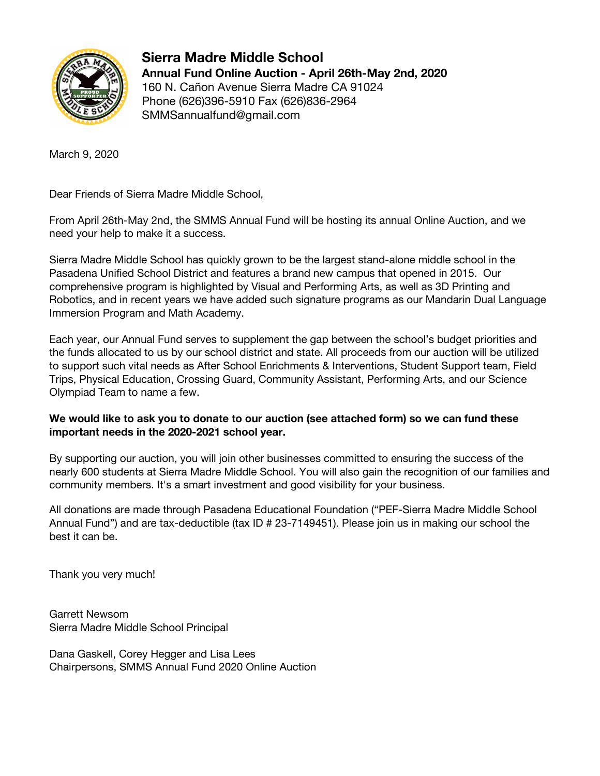

**Sierra Madre Middle School Annual Fund Online Auction - April 26th-May 2nd, 2020** 160 N. Cañon Avenue Sierra Madre CA 91024 Phone (626)396-5910 Fax (626)836-2964 SMMSannualfund@gmail.com

March 9, 2020

Dear Friends of Sierra Madre Middle School,

From April 26th-May 2nd, the SMMS Annual Fund will be hosting its annual Online Auction, and we need your help to make it a success.

Sierra Madre Middle School has quickly grown to be the largest stand-alone middle school in the Pasadena Unified School District and features a brand new campus that opened in 2015. Our comprehensive program is highlighted by Visual and Performing Arts, as well as 3D Printing and Robotics, and in recent years we have added such signature programs as our Mandarin Dual Language Immersion Program and Math Academy.

Each year, our Annual Fund serves to supplement the gap between the school's budget priorities and the funds allocated to us by our school district and state. All proceeds from our auction will be utilized to support such vital needs as After School Enrichments & Interventions, Student Support team, Field Trips, Physical Education, Crossing Guard, Community Assistant, Performing Arts, and our Science Olympiad Team to name a few.

## **We would like to ask you to donate to our auction (see attached form) so we can fund these important needs in the 2020-2021 school year.**

By supporting our auction, you will join other businesses committed to ensuring the success of the nearly 600 students at Sierra Madre Middle School. You will also gain the recognition of our families and community members. It's a smart investment and good visibility for your business.

All donations are made through Pasadena Educational Foundation ("PEF-Sierra Madre Middle School Annual Fund") and are tax-deductible (tax ID # 23-7149451). Please join us in making our school the best it can be.

Thank you very much!

Garrett Newsom Sierra Madre Middle School Principal

Dana Gaskell, Corey Hegger and Lisa Lees Chairpersons, SMMS Annual Fund 2020 Online Auction